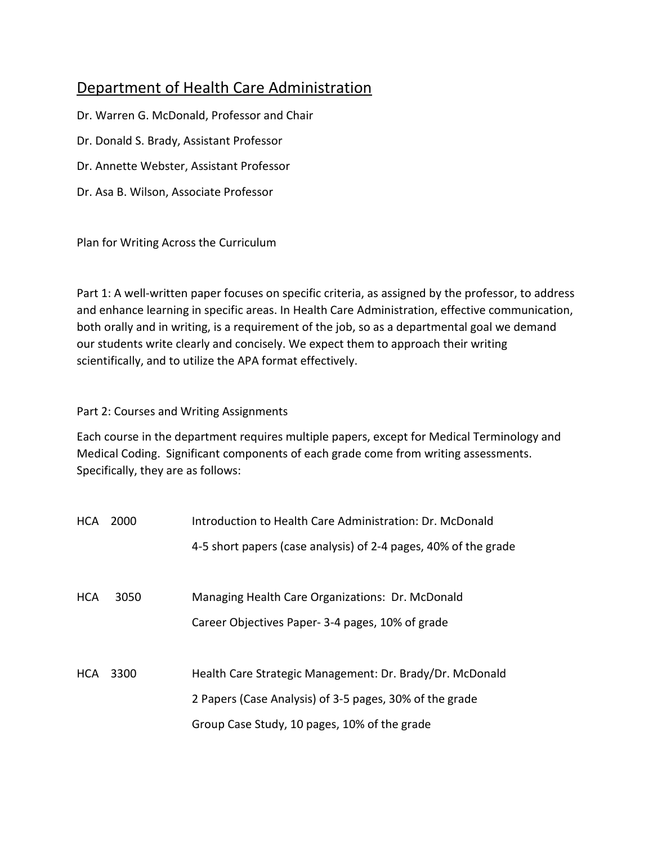## Department of Health Care Administration

Dr. Warren G. McDonald, Professor and Chair

Dr. Donald S. Brady, Assistant Professor

Dr. Annette Webster, Assistant Professor

Dr. Asa B. Wilson, Associate Professor

Plan for Writing Across the Curriculum

Part 1: A well-written paper focuses on specific criteria, as assigned by the professor, to address and enhance learning in specific areas. In Health Care Administration, effective communication, both orally and in writing, is a requirement of the job, so as a departmental goal we demand our students write clearly and concisely. We expect them to approach their writing scientifically, and to utilize the APA format effectively.

#### Part 2: Courses and Writing Assignments

Each course in the department requires multiple papers, except for Medical Terminology and Medical Coding. Significant components of each grade come from writing assessments. Specifically, they are as follows:

| <b>HCA</b> | 2000 | Introduction to Health Care Administration: Dr. McDonald        |  |  |  |  |
|------------|------|-----------------------------------------------------------------|--|--|--|--|
|            |      | 4-5 short papers (case analysis) of 2-4 pages, 40% of the grade |  |  |  |  |
|            |      |                                                                 |  |  |  |  |
| <b>HCA</b> | 3050 | Managing Health Care Organizations: Dr. McDonald                |  |  |  |  |
|            |      | Career Objectives Paper-3-4 pages, 10% of grade                 |  |  |  |  |
|            |      |                                                                 |  |  |  |  |
| HCA        | 3300 | Health Care Strategic Management: Dr. Brady/Dr. McDonald        |  |  |  |  |
|            |      | 2 Papers (Case Analysis) of 3-5 pages, 30% of the grade         |  |  |  |  |
|            |      | Group Case Study, 10 pages, 10% of the grade                    |  |  |  |  |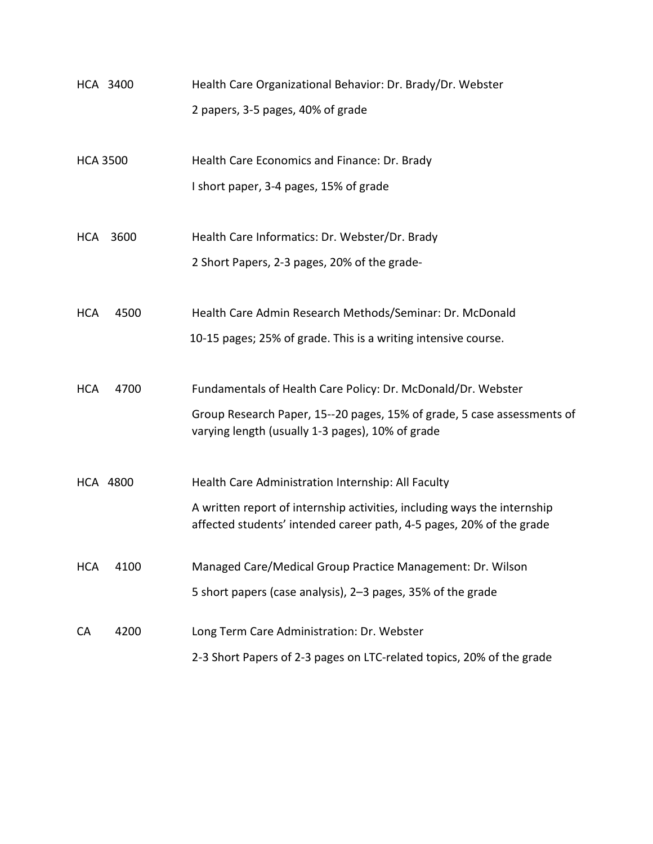| HCA 3400<br>Health Care Organizational Behavior: Dr. Brady/Dr. Webster |                                                                                                                                                  |  |  |  |  |
|------------------------------------------------------------------------|--------------------------------------------------------------------------------------------------------------------------------------------------|--|--|--|--|
|                                                                        | 2 papers, 3-5 pages, 40% of grade                                                                                                                |  |  |  |  |
| <b>HCA 3500</b>                                                        | Health Care Economics and Finance: Dr. Brady                                                                                                     |  |  |  |  |
|                                                                        | I short paper, 3-4 pages, 15% of grade                                                                                                           |  |  |  |  |
| 3600<br>HCA                                                            | Health Care Informatics: Dr. Webster/Dr. Brady                                                                                                   |  |  |  |  |
|                                                                        | 2 Short Papers, 2-3 pages, 20% of the grade-                                                                                                     |  |  |  |  |
| 4500<br><b>HCA</b>                                                     | Health Care Admin Research Methods/Seminar: Dr. McDonald                                                                                         |  |  |  |  |
|                                                                        | 10-15 pages; 25% of grade. This is a writing intensive course.                                                                                   |  |  |  |  |
| <b>HCA</b><br>4700                                                     | Fundamentals of Health Care Policy: Dr. McDonald/Dr. Webster                                                                                     |  |  |  |  |
|                                                                        | Group Research Paper, 15--20 pages, 15% of grade, 5 case assessments of<br>varying length (usually 1-3 pages), 10% of grade                      |  |  |  |  |
| <b>HCA 4800</b>                                                        | Health Care Administration Internship: All Faculty                                                                                               |  |  |  |  |
|                                                                        | A written report of internship activities, including ways the internship<br>affected students' intended career path, 4-5 pages, 20% of the grade |  |  |  |  |
| <b>HCA</b><br>4100                                                     | Managed Care/Medical Group Practice Management: Dr. Wilson                                                                                       |  |  |  |  |
|                                                                        | 5 short papers (case analysis), 2-3 pages, 35% of the grade                                                                                      |  |  |  |  |
| 4200<br>CA                                                             | Long Term Care Administration: Dr. Webster                                                                                                       |  |  |  |  |
|                                                                        | 2-3 Short Papers of 2-3 pages on LTC-related topics, 20% of the grade                                                                            |  |  |  |  |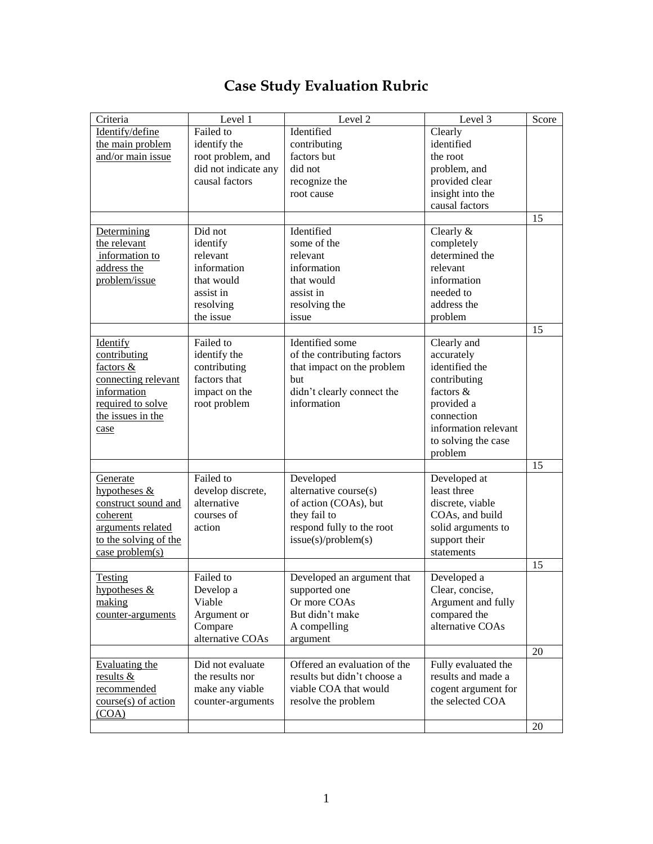## **Case Study Evaluation Rubric**

| Criteria              | Level 1              | Level 2                      | Level $\overline{3}$ | Score |
|-----------------------|----------------------|------------------------------|----------------------|-------|
| Identify/define       | Failed to            | Identified                   | Clearly              |       |
| the main problem      | identify the         | contributing                 | identified           |       |
| and/or main issue     | root problem, and    | factors but                  | the root             |       |
|                       | did not indicate any | did not                      | problem, and         |       |
|                       | causal factors       | recognize the                | provided clear       |       |
|                       |                      | root cause                   | insight into the     |       |
|                       |                      |                              | causal factors       |       |
|                       |                      |                              |                      | 15    |
| Determining           | Did not              | Identified                   | Clearly &            |       |
| the relevant          | identify             | some of the                  | completely           |       |
| information to        | relevant             | relevant                     | determined the       |       |
| address the           | information          | information                  | relevant             |       |
| problem/issue         | that would           | that would                   | information          |       |
|                       | assist in            | assist in                    | needed to            |       |
|                       | resolving            | resolving the                | address the          |       |
|                       | the issue            | issue                        | problem              |       |
|                       |                      |                              |                      | 15    |
| Identify              | Failed to            | Identified some              | Clearly and          |       |
| contributing          | identify the         | of the contributing factors  | accurately           |       |
| factors &             | contributing         | that impact on the problem   | identified the       |       |
| connecting relevant   | factors that         | but                          | contributing         |       |
| information           | impact on the        | didn't clearly connect the   | factors $\&$         |       |
| required to solve     | root problem         | information                  | provided a           |       |
| the issues in the     |                      |                              | connection           |       |
| case                  |                      |                              | information relevant |       |
|                       |                      |                              | to solving the case  |       |
|                       |                      |                              | problem              |       |
|                       |                      |                              |                      | 15    |
| Generate              | Failed to            | Developed                    | Developed at         |       |
| hypotheses $&$        | develop discrete,    | alternative course(s)        | least three          |       |
| construct sound and   | alternative          | of action (COAs), but        | discrete, viable     |       |
| coherent              | courses of           | they fail to                 | COAs, and build      |       |
| arguments related     | action               | respond fully to the root    | solid arguments to   |       |
| to the solving of the |                      | issue(s)/problem(s)          | support their        |       |
| case problem(s)       |                      |                              | statements           |       |
|                       |                      |                              |                      | 15    |
| <b>Testing</b>        | Failed to            | Developed an argument that   | Developed a          |       |
| hypotheses &          | Develop a            | supported one                | Clear, concise,      |       |
| making                | Viable               | Or more COAs                 | Argument and fully   |       |
| counter-arguments     | Argument or          | But didn't make              | compared the         |       |
|                       | Compare              | A compelling                 | alternative COAs     |       |
|                       | alternative COAs     | argument                     |                      |       |
|                       |                      |                              |                      | 20    |
| <b>Evaluating the</b> | Did not evaluate     | Offered an evaluation of the | Fully evaluated the  |       |
| results &             | the results nor      | results but didn't choose a  | results and made a   |       |
| recommended           | make any viable      | viable COA that would        | cogent argument for  |       |
| $course(s)$ of action | counter-arguments    | resolve the problem          | the selected COA     |       |
| (COA)                 |                      |                              |                      |       |
|                       |                      |                              |                      | 20    |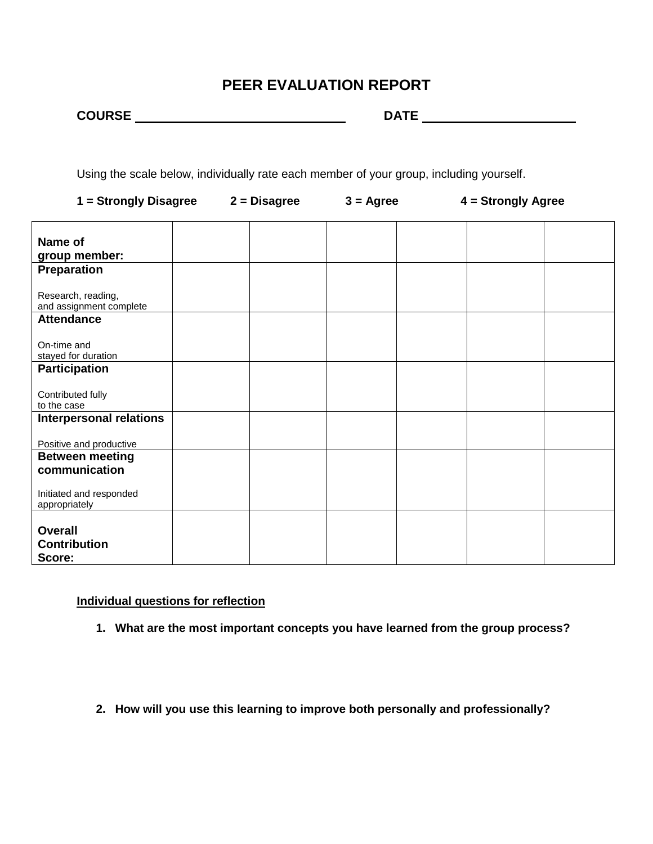### **PEER EVALUATION REPORT**

| <b>COURSE</b> |  |
|---------------|--|
|               |  |

**COURSE DATE** 

Using the scale below, individually rate each member of your group, including yourself.

| $1 =$ Strongly Disagree $2 =$ Disagree          |  | $3 = \text{Agree}$ | 4 = Strongly Agree |  |
|-------------------------------------------------|--|--------------------|--------------------|--|
| Name of<br>group member:                        |  |                    |                    |  |
| Preparation                                     |  |                    |                    |  |
| Research, reading,<br>and assignment complete   |  |                    |                    |  |
| <b>Attendance</b>                               |  |                    |                    |  |
| On-time and<br>stayed for duration              |  |                    |                    |  |
| <b>Participation</b>                            |  |                    |                    |  |
| Contributed fully<br>to the case                |  |                    |                    |  |
| <b>Interpersonal relations</b>                  |  |                    |                    |  |
| Positive and productive                         |  |                    |                    |  |
| <b>Between meeting</b><br>communication         |  |                    |                    |  |
| Initiated and responded<br>appropriately        |  |                    |                    |  |
| <b>Overall</b><br><b>Contribution</b><br>Score: |  |                    |                    |  |

#### **Individual questions for reflection**

- **1. What are the most important concepts you have learned from the group process?**
- **2. How will you use this learning to improve both personally and professionally?**